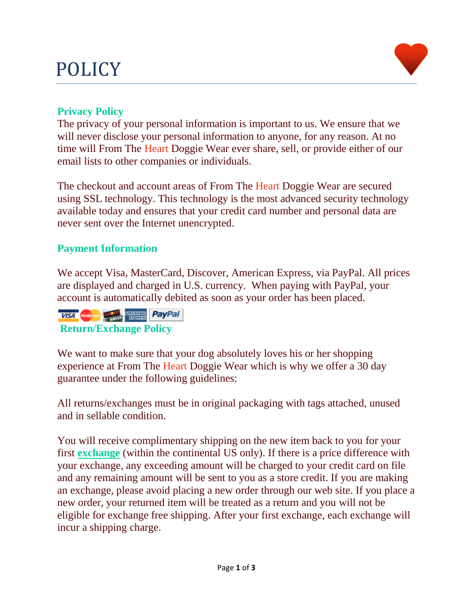# POLICY



The privacy of your personal information is important to us. We ensure that we will never disclose your personal information to anyone, for any reason. At no time will From The Heart Doggie Wear ever share, sell, or provide either of our email lists to other companies or individuals.

The checkout and account areas of From The Heart Doggie Wear are secured using SSL technology. This technology is the most advanced security technology available today and ensures that your credit card number and personal data are never sent over the Internet unencrypted.

### **Payment Information**

We accept Visa, MasterCard, Discover, American Express, via PayPal. All prices are displayed and charged in U.S. currency. When paying with PayPal, your account is automatically debited as soon as your order has been placed.

**VISA MARINE CONTROL PayPal Return/Exchange Policy**

We want to make sure that your dog absolutely loves his or her shopping experience at From The Heart Doggie Wear which is why we offer a 30 day guarantee under the following guidelines:

All returns/exchanges must be in original packaging with tags attached, unused and in sellable condition.

You will receive complimentary shipping on the new item back to you for your first **exchange** (within the continental US only). If there is a price difference with your exchange, any exceeding amount will be charged to your credit card on file and any remaining amount will be sent to you as a store credit. If you are making an exchange, please avoid placing a new order through our web site. If you place a new order, your returned item will be treated as a return and you will not be eligible for exchange free shipping. After your first exchange, each exchange will incur a shipping charge.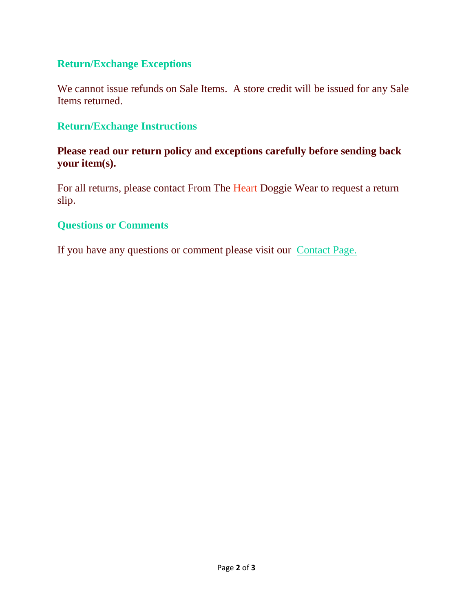#### **Return/Exchange Exceptions**

We cannot issue refunds on Sale Items. A store credit will be issued for any Sale Items returned.

#### **Return/Exchange Instructions**

#### **Please read our return policy and exceptions carefully before sending back your item(s).**

For all returns, please contact From The Heart Doggie Wear to request a return slip.

#### **Questions or Comments**

If you have any questions or comment please visit our Contact Page.